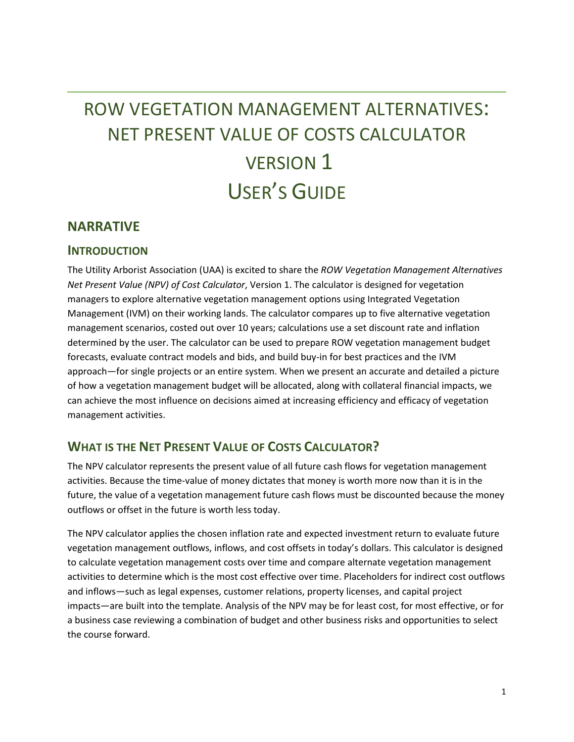# ROW VEGETATION MANAGEMENT ALTERNATIVES: NET PRESENT VALUE OF COSTS CALCULATOR VERSION 1 USER'S GUIDE

## **NARRATIVE**

## **INTRODUCTION**

The Utility Arborist Association (UAA) is excited to share the *ROW Vegetation Management Alternatives Net Present Value (NPV) of Cost Calculator*, Version 1. The calculator is designed for vegetation managers to explore alternative vegetation management options using Integrated Vegetation Management (IVM) on their working lands. The calculator compares up to five alternative vegetation management scenarios, costed out over 10 years; calculations use a set discount rate and inflation determined by the user. The calculator can be used to prepare ROW vegetation management budget forecasts, evaluate contract models and bids, and build buy-in for best practices and the IVM approach—for single projects or an entire system. When we present an accurate and detailed a picture of how a vegetation management budget will be allocated, along with collateral financial impacts, we can achieve the most influence on decisions aimed at increasing efficiency and efficacy of vegetation management activities.

# **WHAT IS THE NET PRESENT VALUE OF COSTS CALCULATOR?**

The NPV calculator represents the present value of all future cash flows for vegetation management activities. Because the time-value of money dictates that money is worth more now than it is in the future, the value of a vegetation management future cash flows must be discounted because the money outflows or offset in the future is worth less today.

The NPV calculator applies the chosen inflation rate and expected investment return to evaluate future vegetation management outflows, inflows, and cost offsets in today's dollars. This calculator is designed to calculate vegetation management costs over time and compare alternate vegetation management activities to determine which is the most cost effective over time. Placeholders for indirect cost outflows and inflows—such as legal expenses, customer relations, property licenses, and capital project impacts—are built into the template. Analysis of the NPV may be for least cost, for most effective, or for a business case reviewing a combination of budget and other business risks and opportunities to select the course forward.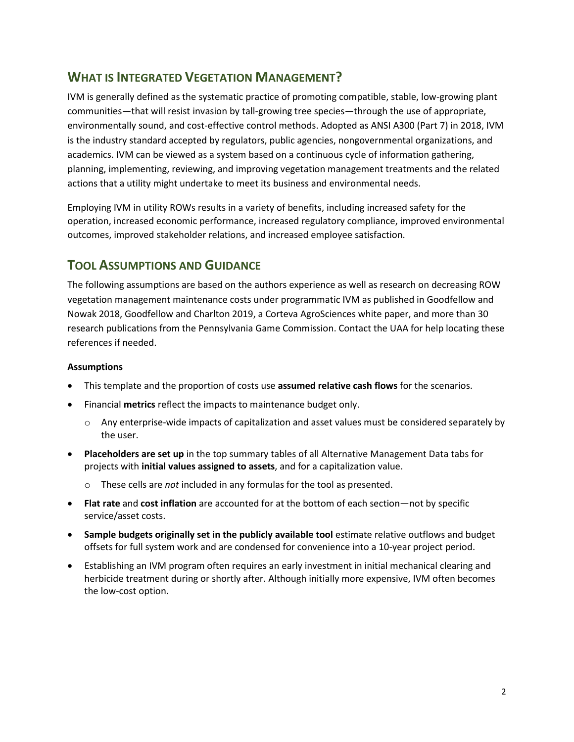# **WHAT IS INTEGRATED VEGETATION MANAGEMENT?**

IVM is generally defined as the systematic practice of promoting compatible, stable, low-growing plant communities—that will resist invasion by tall-growing tree species—through the use of appropriate, environmentally sound, and cost-effective control methods. Adopted as ANSI A300 (Part 7) in 2018, IVM is the industry standard accepted by regulators, public agencies, nongovernmental organizations, and academics. IVM can be viewed as a system based on a continuous cycle of information gathering, planning, implementing, reviewing, and improving vegetation management treatments and the related actions that a utility might undertake to meet its business and environmental needs.

Employing IVM in utility ROWs results in a variety of benefits, including increased safety for the operation, increased economic performance, increased regulatory compliance, improved environmental outcomes, improved stakeholder relations, and increased employee satisfaction.

## **TOOL ASSUMPTIONS AND GUIDANCE**

The following assumptions are based on the authors experience as well as research on decreasing ROW vegetation management maintenance costs under programmatic IVM as published in Goodfellow and Nowak 2018, Goodfellow and Charlton 2019, a Corteva AgroSciences white paper, and more than 30 research publications from the Pennsylvania Game Commission. Contact the UAA for help locating these references if needed.

#### **Assumptions**

- This template and the proportion of costs use **assumed relative cash flows** for the scenarios.
- Financial **metrics** reflect the impacts to maintenance budget only.
	- o Any enterprise-wide impacts of capitalization and asset values must be considered separately by the user.
- **Placeholders are set up** in the top summary tables of all Alternative Management Data tabs for projects with **initial values assigned to assets**, and for a capitalization value.
	- o These cells are *not* included in any formulas for the tool as presented.
- **Flat rate** and **cost inflation** are accounted for at the bottom of each section—not by specific service/asset costs.
- **Sample budgets originally set in the publicly available tool** estimate relative outflows and budget offsets for full system work and are condensed for convenience into a 10-year project period.
- Establishing an IVM program often requires an early investment in initial mechanical clearing and herbicide treatment during or shortly after. Although initially more expensive, IVM often becomes the low-cost option.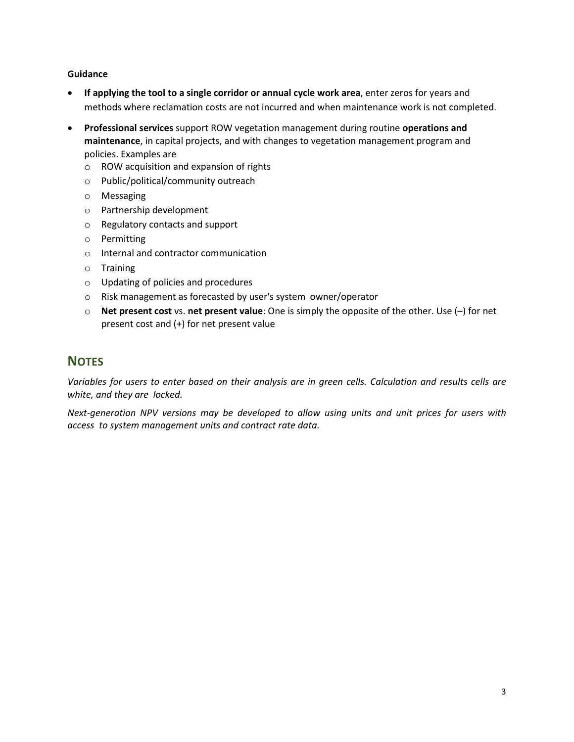#### **Guidance**

- **If applying the tool to a single corridor or annual cycle work area**, enter zeros for years and methods where reclamation costs are not incurred and when maintenance work is not completed.
- **Professional services** support ROW vegetation management during routine **operations and maintenance**, in capital projects, and with changes to vegetation management program and policies. Examples are
	- o ROW acquisition and expansion of rights
	- o Public/political/community outreach
	- o Messaging
	- o Partnership development
	- o Regulatory contacts and support
	- o Permitting
	- o Internal and contractor communication
	- o Training
	- o Updating of policies and procedures
	- o Risk management as forecasted by user's system owner/operator
	- o **Net present cost** vs. **net present value**: One is simply the opposite of the other. Use (–) for net present cost and (+) for net present value

## **NOTES**

*Variables for users to enter based on their analysis are in green cells. Calculation and results cells are white, and they are locked.*

*Next-generation NPV versions may be developed to allow using units and unit prices for users with access to system management units and contract rate data.*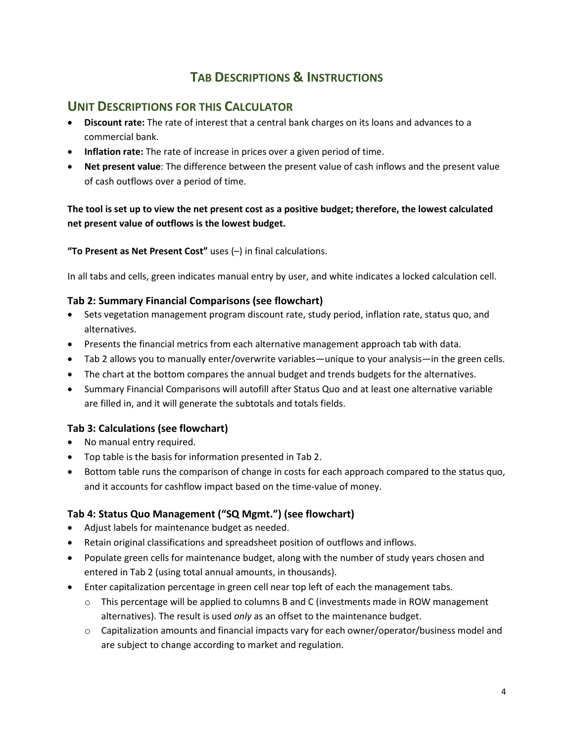# **TAB DESCRIPTIONS & INSTRUCTIONS**

## **UNIT DESCRIPTIONS FOR THIS CALCULATOR**

- **Discount rate:** The rate of interest that a central bank charges on its loans and advances to a commercial bank.
- **Inflation rate:** The rate of increase in prices over a given period of time.
- **Net present value**: The difference between the present value of cash inflows and the present value of cash outflows over a period of time.

## **The tool is set up to view the net present cost as a positive budget; therefore, the lowest calculated net present value of outflows is the lowest budget.**

**"To Present as Net Present Cost"** uses (–) in final calculations.

In all tabs and cells, green indicates manual entry by user, and white indicates a locked calculation cell.

## **Tab 2: Summary Financial Comparisons (see flowchart)**

- Sets vegetation management program discount rate, study period, inflation rate, status quo, and alternatives.
- Presents the financial metrics from each alternative management approach tab with data.
- Tab 2 allows you to manually enter/overwrite variables—unique to your analysis—in the green cells.
- The chart at the bottom compares the annual budget and trends budgets for the alternatives.
- Summary Financial Comparisons will autofill after Status Quo and at least one alternative variable are filled in, and it will generate the subtotals and totals fields.

## **Tab 3: Calculations (see flowchart)**

- No manual entry required.
- Top table is the basis for information presented in Tab 2.
- Bottom table runs the comparison of change in costs for each approach compared to the status quo, and it accounts for cashflow impact based on the time-value of money.

## **Tab 4: Status Quo Management ("SQ Mgmt.") (see flowchart)**

- Adjust labels for maintenance budget as needed.
- Retain original classifications and spreadsheet position of outflows and inflows.
- Populate green cells for maintenance budget, along with the number of study years chosen and entered in Tab 2 (using total annual amounts, in thousands).
- Enter capitalization percentage in green cell near top left of each the management tabs.
	- $\circ$  This percentage will be applied to columns B and C (investments made in ROW management alternatives). The result is used *only* as an offset to the maintenance budget.
	- o Capitalization amounts and financial impacts vary for each owner/operator/business model and are subject to change according to market and regulation.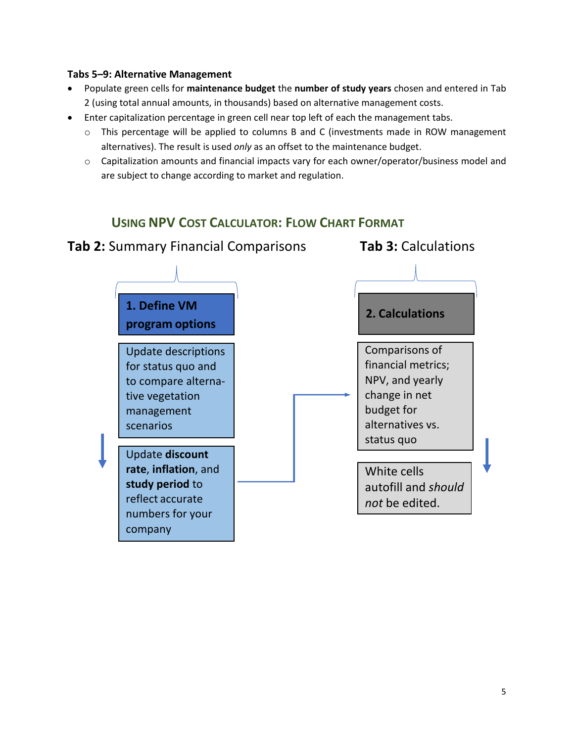## **Tabs 5–9: Alternative Management**

- Populate green cells for **maintenance budget** the **number of study years** chosen and entered in Tab 2 (using total annual amounts, in thousands) based on alternative management costs.
- Enter capitalization percentage in green cell near top left of each the management tabs.
	- o This percentage will be applied to columns B and C (investments made in ROW management alternatives). The result is used *only* as an offset to the maintenance budget.
	- $\circ$  Capitalization amounts and financial impacts vary for each owner/operator/business model and are subject to change according to market and regulation.